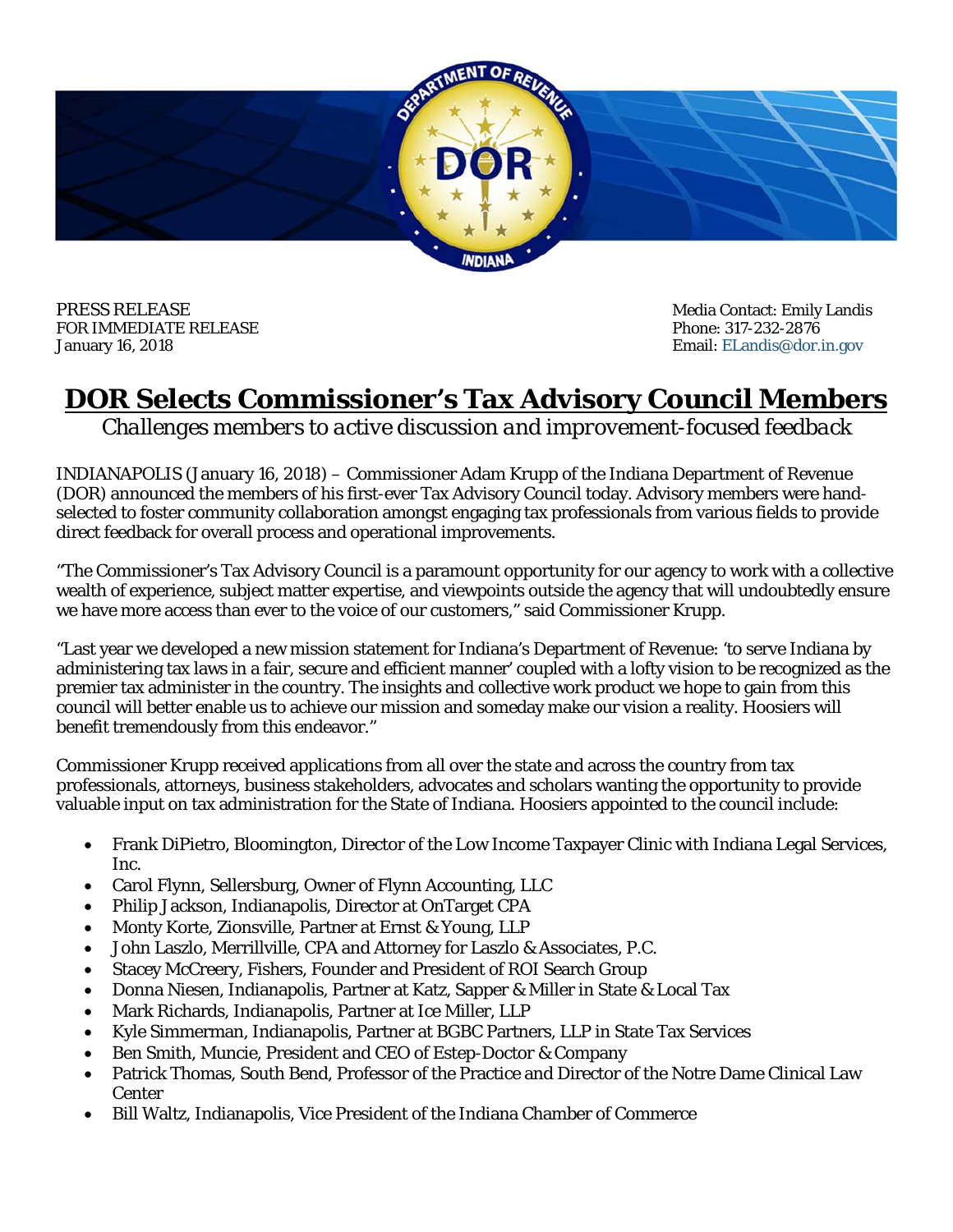

PRESS RELEASE **Media Contact: Emily Landis** Media Contact: Emily Landis FOR IMMEDIATE RELEASE Phone: 317-232-2876 January 16, 2018 Email: ELandis@dor.in.gov

## **DOR Selects Commissioner's Tax Advisory Council Members**

*Challenges members to active discussion and improvement-focused feedback* 

INDIANAPOLIS (January 16, 2018) – Commissioner Adam Krupp of the Indiana Department of Revenue (DOR) announced the members of his first-ever Tax Advisory Council today. Advisory members were handselected to foster community collaboration amongst engaging tax professionals from various fields to provide direct feedback for overall process and operational improvements.

"The Commissioner's Tax Advisory Council is a paramount opportunity for our agency to work with a collective wealth of experience, subject matter expertise, and viewpoints outside the agency that will undoubtedly ensure we have more access than ever to the voice of our customers," said Commissioner Krupp.

"Last year we developed a new mission statement for Indiana's Department of Revenue: 'to serve Indiana by administering tax laws in a fair, secure and efficient manner' coupled with a lofty vision to be recognized as the premier tax administer in the country. The insights and collective work product we hope to gain from this council will better enable us to achieve our mission and someday make our vision a reality. Hoosiers will benefit tremendously from this endeavor."

Commissioner Krupp received applications from all over the state and across the country from tax professionals, attorneys, business stakeholders, advocates and scholars wanting the opportunity to provide valuable input on tax administration for the State of Indiana. Hoosiers appointed to the council include:

- Frank DiPietro, Bloomington, Director of the Low Income Taxpayer Clinic with Indiana Legal Services, Inc.
- Carol Flynn, Sellersburg, Owner of Flynn Accounting, LLC
- Philip Jackson, Indianapolis, Director at OnTarget CPA
- Monty Korte, Zionsville, Partner at Ernst & Young, LLP
- John Laszlo, Merrillville, CPA and Attorney for Laszlo & Associates, P.C.
- Stacey McCreery, Fishers, Founder and President of ROI Search Group
- Donna Niesen, Indianapolis, Partner at Katz, Sapper & Miller in State & Local Tax
- Mark Richards, Indianapolis, Partner at Ice Miller, LLP
- Kyle Simmerman, Indianapolis, Partner at BGBC Partners, LLP in State Tax Services
- Ben Smith, Muncie, President and CEO of Estep-Doctor & Company
- Patrick Thomas, South Bend, Professor of the Practice and Director of the Notre Dame Clinical Law **Center**
- Bill Waltz, Indianapolis, Vice President of the Indiana Chamber of Commerce